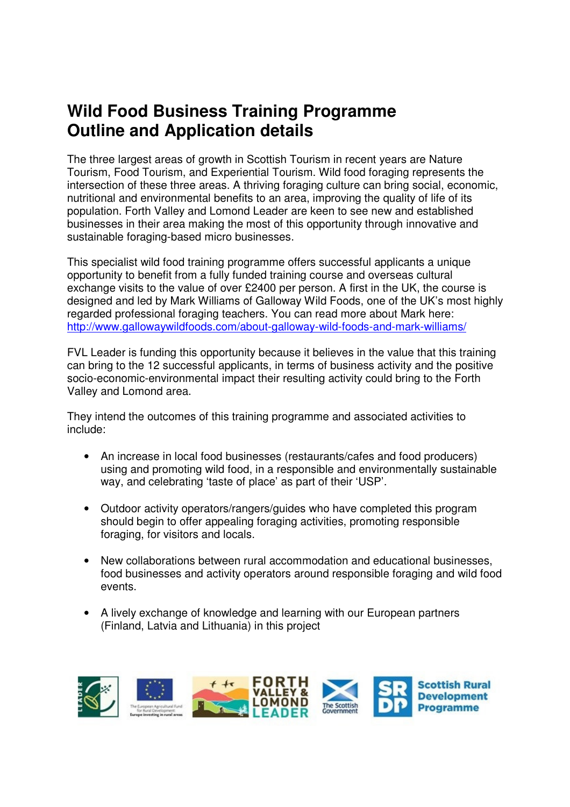# **Wild Food Business Training Programme Outline and Application details**

The three largest areas of growth in Scottish Tourism in recent years are Nature Tourism, Food Tourism, and Experiential Tourism. Wild food foraging represents the intersection of these three areas. A thriving foraging culture can bring social, economic, nutritional and environmental benefits to an area, improving the quality of life of its population. Forth Valley and Lomond Leader are keen to see new and established businesses in their area making the most of this opportunity through innovative and sustainable foraging-based micro businesses.

This specialist wild food training programme offers successful applicants a unique opportunity to benefit from a fully funded training course and overseas cultural exchange visits to the value of over £2400 per person. A first in the UK, the course is designed and led by Mark Williams of Galloway Wild Foods, one of the UK's most highly regarded professional foraging teachers. You can read more about Mark here: http://www.gallowaywildfoods.com/about-galloway-wild-foods-and-mark-williams/

FVL Leader is funding this opportunity because it believes in the value that this training can bring to the 12 successful applicants, in terms of business activity and the positive socio-economic-environmental impact their resulting activity could bring to the Forth Valley and Lomond area.

They intend the outcomes of this training programme and associated activities to include:

- An increase in local food businesses (restaurants/cafes and food producers) using and promoting wild food, in a responsible and environmentally sustainable way, and celebrating 'taste of place' as part of their 'USP'.
- Outdoor activity operators/rangers/guides who have completed this program should begin to offer appealing foraging activities, promoting responsible foraging, for visitors and locals.
- New collaborations between rural accommodation and educational businesses, food businesses and activity operators around responsible foraging and wild food events.
- A lively exchange of knowledge and learning with our European partners (Finland, Latvia and Lithuania) in this project

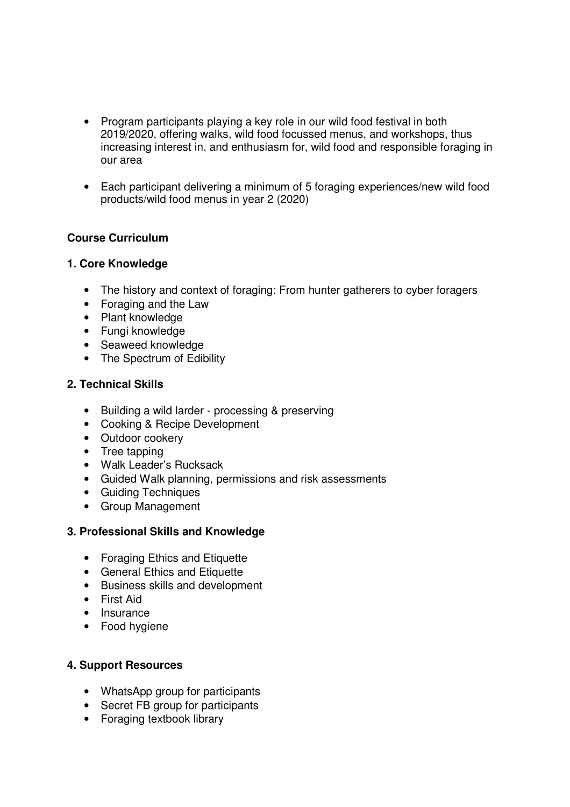- Program participants playing a key role in our wild food festival in both 2019/2020, offering walks, wild food focussed menus, and workshops, thus increasing interest in, and enthusiasm for, wild food and responsible foraging in our area
- Each participant delivering a minimum of 5 foraging experiences/new wild food products/wild food menus in year 2 (2020)

### **Course Curriculum**

### **1. Core Knowledge**

- The history and context of foraging: From hunter gatherers to cyber foragers
- Foraging and the Law
- Plant knowledge
- Fungi knowledge
- Seaweed knowledge
- The Spectrum of Edibility

### **2. Technical Skills**

- Building a wild larder processing & preserving
- Cooking & Recipe Development
- Outdoor cookery
- Tree tapping
- Walk Leader's Rucksack
- Guided Walk planning, permissions and risk assessments
- Guiding Techniques
- Group Management

### **3. Professional Skills and Knowledge**

- Foraging Ethics and Etiquette
- General Ethics and Etiquette
- Business skills and development
- First Aid
- Insurance
- Food hygiene

### **4. Support Resources**

- WhatsApp group for participants
- Secret FB group for participants
- Foraging textbook library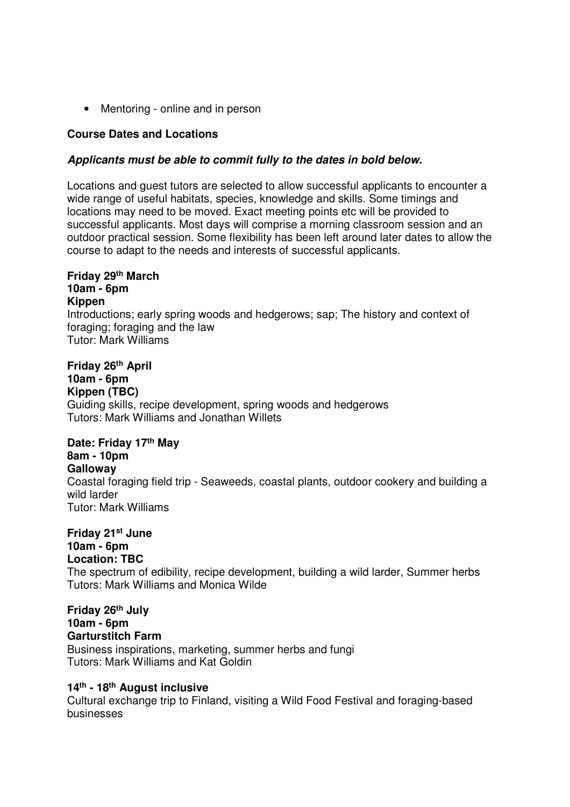• Mentoring - online and in person

### **Course Dates and Locations**

### **Applicants must be able to commit fully to the dates in bold below.**

Locations and guest tutors are selected to allow successful applicants to encounter a wide range of useful habitats, species, knowledge and skills. Some timings and locations may need to be moved. Exact meeting points etc will be provided to successful applicants. Most days will comprise a morning classroom session and an outdoor practical session. Some flexibility has been left around later dates to allow the course to adapt to the needs and interests of successful applicants.

### **Friday 29th March 10am - 6pm Kippen**  Introductions; early spring woods and hedgerows; sap; The history and context of foraging; foraging and the law Tutor: Mark Williams

### **Friday 26th April**

### **10am - 6pm**

**Kippen (TBC)**  Guiding skills, recipe development, spring woods and hedgerows Tutors: Mark Williams and Jonathan Willets

# **Date: Friday 17th May**

## **8am - 10pm**

**Galloway** 

Coastal foraging field trip - Seaweeds, coastal plants, outdoor cookery and building a wild larder Tutor: Mark Williams

# **Friday 21st June**

#### **10am - 6pm Location: TBC**

The spectrum of edibility, recipe development, building a wild larder, Summer herbs Tutors: Mark Williams and Monica Wilde

**Friday 26th July 10am - 6pm Garturstitch Farm**  Business inspirations, marketing, summer herbs and fungi Tutors: Mark Williams and Kat Goldin

### **14th - 18th August inclusive**

Cultural exchange trip to Finland, visiting a Wild Food Festival and foraging-based businesses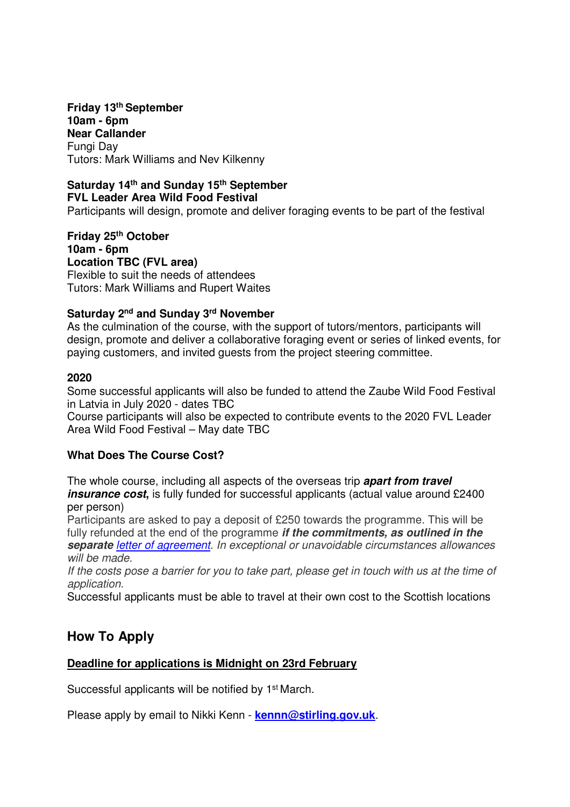**Friday 13th September 10am - 6pm Near Callander**  Fungi Day Tutors: Mark Williams and Nev Kilkenny

### **Saturday 14th and Sunday 15th September FVL Leader Area Wild Food Festival**

Participants will design, promote and deliver foraging events to be part of the festival

**Friday 25th October 10am - 6pm Location TBC (FVL area)**  Flexible to suit the needs of attendees Tutors: Mark Williams and Rupert Waites

### **Saturday 2nd and Sunday 3rd November**

As the culmination of the course, with the support of tutors/mentors, participants will design, promote and deliver a collaborative foraging event or series of linked events, for paying customers, and invited guests from the project steering committee.

#### **2020**

Some successful applicants will also be funded to attend the Zaube Wild Food Festival in Latvia in July 2020 - dates TBC

Course participants will also be expected to contribute events to the 2020 FVL Leader Area Wild Food Festival – May date TBC

### **What Does The Course Cost?**

The whole course, including all aspects of the overseas trip **apart from travel**  *insurance cost*, is fully funded for successful applicants (actual value around £2400 per person)

Participants are asked to pay a deposit of £250 towards the programme. This will be fully refunded at the end of the programme **if the commitments, as outlined in the separate** letter of agreement. In exceptional or unavoidable circumstances allowances will be made.

If the costs pose a barrier for you to take part, please get in touch with us at the time of application.

Successful applicants must be able to travel at their own cost to the Scottish locations

### **How To Apply**

### **Deadline for applications is Midnight on 23rd February**

Successful applicants will be notified by 1st March.

Please apply by email to Nikki Kenn - **kennn@stirling.gov.uk**.